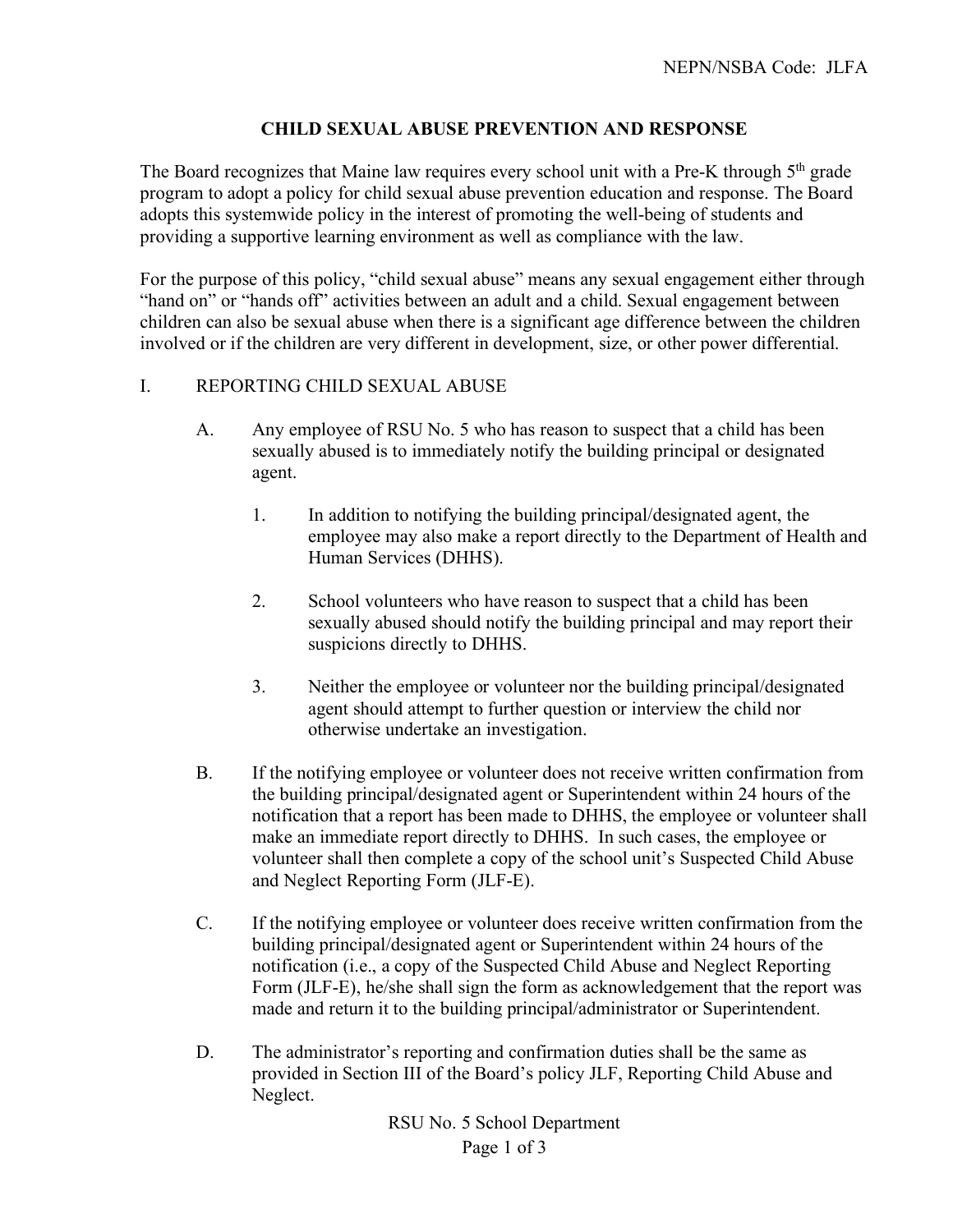## **CHILD SEXUAL ABUSE PREVENTION AND RESPONSE**

The Board recognizes that Maine law requires every school unit with a Pre-K through  $5<sup>th</sup>$  grade program to adopt a policy for child sexual abuse prevention education and response. The Board adopts this systemwide policy in the interest of promoting the well-being of students and providing a supportive learning environment as well as compliance with the law.

For the purpose of this policy, "child sexual abuse" means any sexual engagement either through "hand on" or "hands off" activities between an adult and a child. Sexual engagement between children can also be sexual abuse when there is a significant age difference between the children involved or if the children are very different in development, size, or other power differential.

## I. REPORTING CHILD SEXUAL ABUSE

- A. Any employee of RSU No. 5 who has reason to suspect that a child has been sexually abused is to immediately notify the building principal or designated agent.
	- 1. In addition to notifying the building principal/designated agent, the employee may also make a report directly to the Department of Health and Human Services (DHHS).
	- 2. School volunteers who have reason to suspect that a child has been sexually abused should notify the building principal and may report their suspicions directly to DHHS.
	- 3. Neither the employee or volunteer nor the building principal/designated agent should attempt to further question or interview the child nor otherwise undertake an investigation.
- B. If the notifying employee or volunteer does not receive written confirmation from the building principal/designated agent or Superintendent within 24 hours of the notification that a report has been made to DHHS, the employee or volunteer shall make an immediate report directly to DHHS. In such cases, the employee or volunteer shall then complete a copy of the school unit's Suspected Child Abuse and Neglect Reporting Form (JLF-E).
- C. If the notifying employee or volunteer does receive written confirmation from the building principal/designated agent or Superintendent within 24 hours of the notification (i.e., a copy of the Suspected Child Abuse and Neglect Reporting Form (JLF-E), he/she shall sign the form as acknowledgement that the report was made and return it to the building principal/administrator or Superintendent.
- D. The administrator's reporting and confirmation duties shall be the same as provided in Section III of the Board's policy JLF, Reporting Child Abuse and Neglect.

RSU No. 5 School Department Page 1 of 3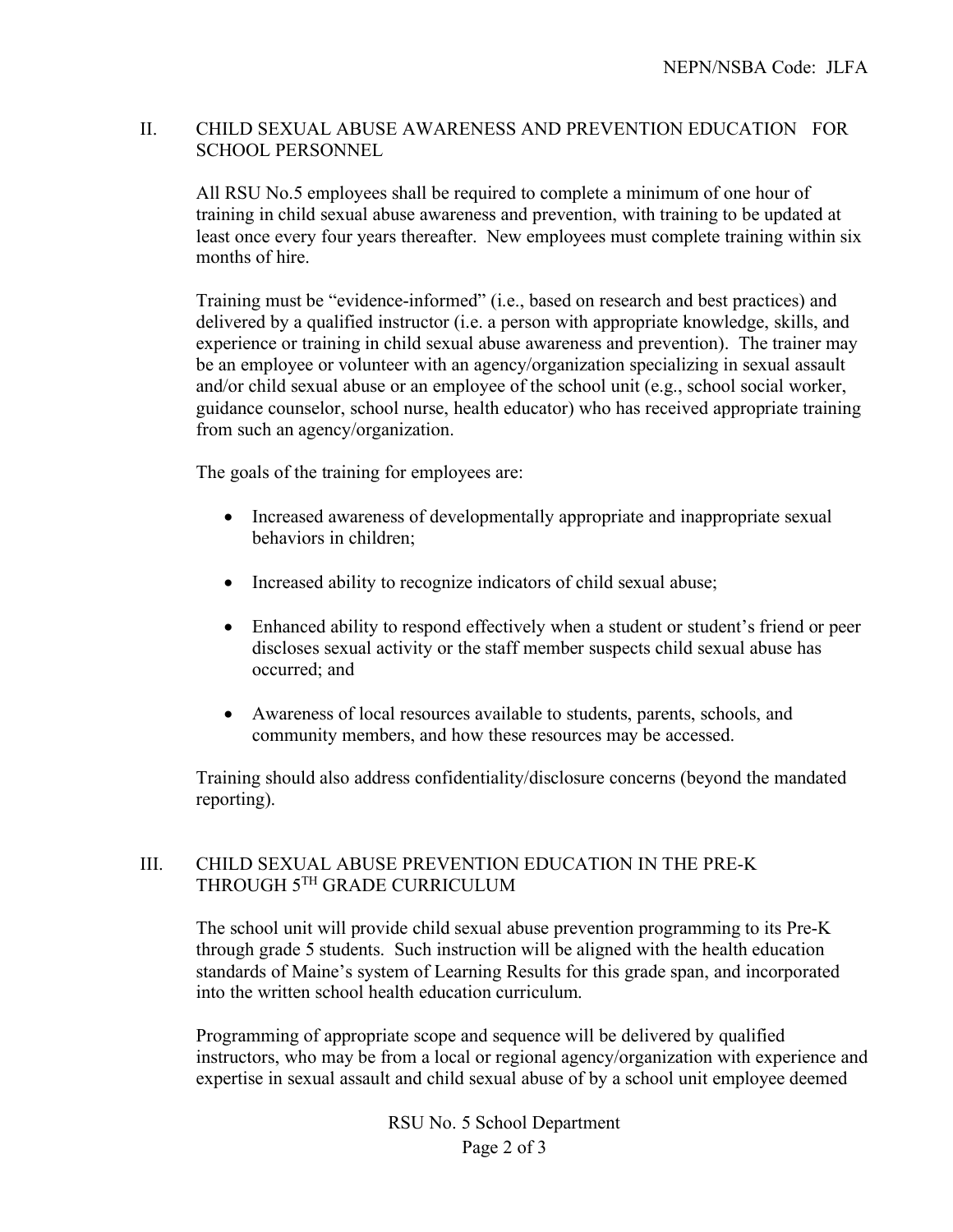## II. CHILD SEXUAL ABUSE AWARENESS AND PREVENTION EDUCATION FOR SCHOOL PERSONNEL

All RSU No.5 employees shall be required to complete a minimum of one hour of training in child sexual abuse awareness and prevention, with training to be updated at least once every four years thereafter. New employees must complete training within six months of hire.

Training must be "evidence-informed" (i.e., based on research and best practices) and delivered by a qualified instructor (i.e. a person with appropriate knowledge, skills, and experience or training in child sexual abuse awareness and prevention). The trainer may be an employee or volunteer with an agency/organization specializing in sexual assault and/or child sexual abuse or an employee of the school unit (e.g., school social worker, guidance counselor, school nurse, health educator) who has received appropriate training from such an agency/organization.

The goals of the training for employees are:

- Increased awareness of developmentally appropriate and inappropriate sexual behaviors in children;
- Increased ability to recognize indicators of child sexual abuse;
- Enhanced ability to respond effectively when a student or student's friend or peer discloses sexual activity or the staff member suspects child sexual abuse has occurred; and
- Awareness of local resources available to students, parents, schools, and community members, and how these resources may be accessed.

Training should also address confidentiality/disclosure concerns (beyond the mandated reporting).

## III. CHILD SEXUAL ABUSE PREVENTION EDUCATION IN THE PRE-K THROUGH 5TH GRADE CURRICULUM

The school unit will provide child sexual abuse prevention programming to its Pre-K through grade 5 students. Such instruction will be aligned with the health education standards of Maine's system of Learning Results for this grade span, and incorporated into the written school health education curriculum.

Programming of appropriate scope and sequence will be delivered by qualified instructors, who may be from a local or regional agency/organization with experience and expertise in sexual assault and child sexual abuse of by a school unit employee deemed

> RSU No. 5 School Department Page 2 of 3